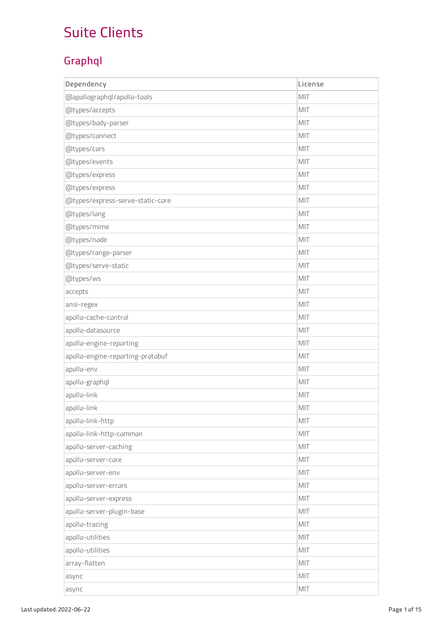## Suite Clients

## G r a p h ql

| Dependency                       | License |
|----------------------------------|---------|
| @apollographql/apollo-tools      | MIT     |
| @types/accepts                   | MIT     |
| @types/body-parser               | MIT     |
| @types/connect                   | MIT     |
| @types/cors                      | MIT     |
| @types/events                    | MIT     |
| @types/express                   | MIT     |
| @types/express                   | MIT     |
| @types/express-serve-static-core | MIT     |
| @types/long                      | MIT     |
| @types/mime                      | MIT     |
| @types/node                      | MIT     |
| @types/range-parser              | MIT     |
| @types/serve-static              | MIT     |
| @types/ws                        | MIT     |
| accepts                          | MIT     |
| ansi-regex                       | MIT     |
| apollo-cache-control             | MIT     |
| apollo-datasource                | MIT     |
| apollo-engine-reporting          | MIT     |
| apollo-engine-reporting-protobuf | MIT     |
| apollo-env                       | MIT     |
| apollo-graphql                   | MIT     |
| apollo-link                      | MIT     |
| apollo-link                      | MIT     |
| apollo-link-http                 | MIT     |
| apollo-link-http-common          | MIT     |
| apollo-server-caching            | MIT     |
| apollo-server-core               | MIT     |
| apollo-server-env                | MIT     |
| apollo-server-errors             | MIT     |
| apollo-server-express            | MIT     |
| apollo-server-plugin-base        | MIT     |
| apollo-tracing                   | MIT     |
| apollo-utilities                 | MIT     |
| apollo-utilities                 | MIT     |
| array-flatten                    | MIT     |
| async                            | MIT     |
| async                            | MIT     |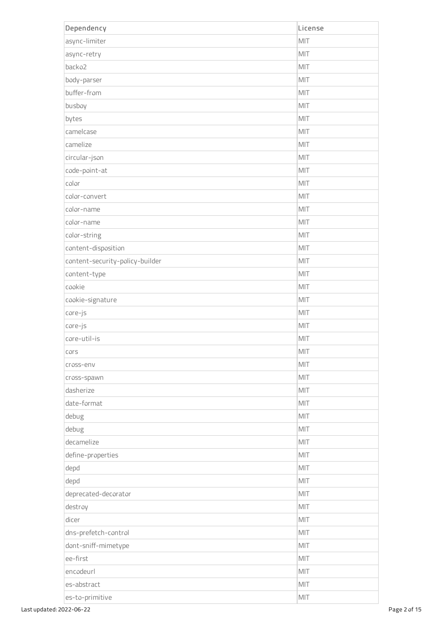| Dependency                      | License |
|---------------------------------|---------|
| async-limiter                   | MIT     |
| async-retry                     | MIT     |
| backo2                          | MIT     |
| body-parser                     | MIT     |
| buffer-from                     | MIT     |
| busboy                          | MIT     |
| bytes                           | MIT     |
| camelcase                       | MIT     |
| camelize                        | MIT     |
| circular-json                   | MIT     |
| code-point-at                   | MIT     |
| color                           | MIT     |
| color-convert                   | MIT     |
| color-name                      | MIT     |
| color-name                      | MIT     |
| color-string                    | MIT     |
| content-disposition             | MIT     |
| content-security-policy-builder | MIT     |
| content-type                    | MIT     |
| cookie                          | MIT     |
| cookie-signature                | MIT     |
| core-js                         | MIT     |
| core-js                         | MIT     |
| core-util-is                    | MIT     |
| cors                            | MIT     |
| cross-env                       | MIT     |
| cross-spawn                     | MIT     |
| dasherize                       | MIT     |
| date-format                     | MIT     |
| debug                           | MIT     |
| debug                           | MIT     |
| decamelize                      | MIT     |
| define-properties               | MIT     |
| depd                            | MIT     |
| depd                            | MIT     |
| deprecated-decorator            | MIT     |
| destroy                         | MIT     |
| dicer                           | MIT     |
| dns-prefetch-control            | MIT     |
| dont-sniff-mimetype             | MIT     |
| ee-first                        | MIT     |
| encodeurl                       | MIT     |
| es-abstract                     | MIT     |
| es-to-primitive                 | MIT     |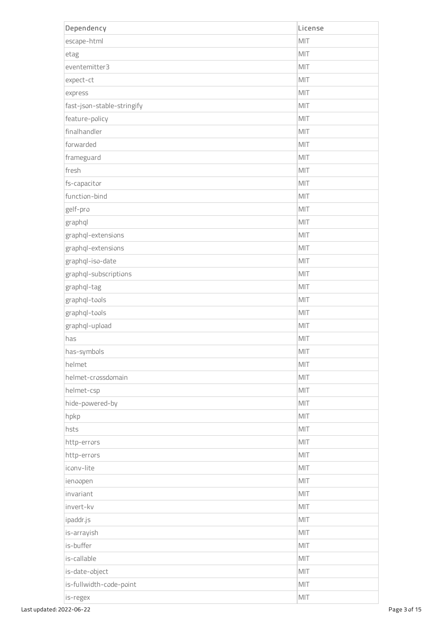| Dependency                 | License        |
|----------------------------|----------------|
| escape-html                | MIT            |
| etag                       | MIT            |
| eventemitter3              | MIT            |
| expect-ct                  | MIT            |
| express                    | MIT            |
| fast-json-stable-stringify | MIT            |
| feature-policy             | MIT            |
| finalhandler               | MIT            |
| forwarded                  | MIT            |
| frameguard                 | MIT            |
| fresh                      | MIT            |
| fs-capacitor               | MIT            |
| function-bind              | MIT            |
| gelf-pro                   | MIT            |
| graphql                    | MIT            |
| graphql-extensions         | MIT            |
| graphql-extensions         | MIT            |
| graphql-iso-date           | MIT            |
| graphql-subscriptions      | MIT            |
| graphql-tag                | MIT            |
| graphql-tools              | MIT            |
| graphql-tools              | MIT            |
| graphql-upload             | MIT            |
| has                        | MIT            |
| has-symbols                | MIT            |
| helmet                     | MIT            |
| helmet-crossdomain         | MIT            |
| helmet-csp                 | MIT            |
| hide-powered-by            | MIT            |
| hpkp                       | MIT            |
| hsts                       | MIT            |
| http-errors                | MIT            |
| http-errors                | MIT            |
| iconv-lite                 | MIT            |
| ienoopen                   | MIT            |
| invariant                  | $\mathsf{MIT}$ |
| invert-kv                  | MIT            |
| ipaddr.js                  | MIT            |
| is-arrayish                | MIT            |
| is-buffer                  | MIT            |
| is-callable                | MIT            |
| is-date-object             | MIT            |
| is-fullwidth-code-point    | MIT            |
| is-regex                   | $\mathsf{MIT}$ |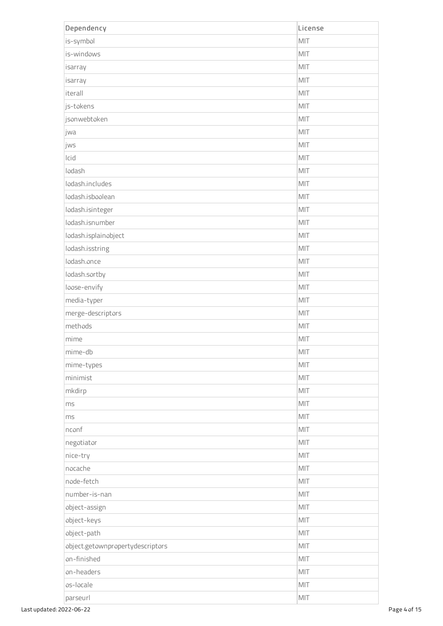| Dependency                       | License |
|----------------------------------|---------|
| is-symbol                        | MIT     |
| is-windows                       | MIT     |
| isarray                          | MIT     |
| isarray                          | MIT     |
| iterall                          | MIT     |
| js-tokens                        | MIT     |
| jsonwebtoken                     | MIT     |
| jwa                              | MIT     |
| jws                              | MIT     |
| Icid                             | MIT     |
| lodash                           | MIT     |
| lodash.includes                  | MIT     |
| lodash.isboolean                 | MIT     |
| lodash.isinteger                 | MIT     |
| lodash.isnumber                  | MIT     |
| lodash.isplainobject             | MIT     |
| lodash.isstring                  | MIT     |
| lodash.once                      | MIT     |
| lodash.sortby                    | MIT     |
| loose-envify                     | MIT     |
| media-typer                      | MIT     |
| merge-descriptors                | MIT     |
| methods                          | MIT     |
| mime                             | MIT     |
| mime-db                          | MIT     |
| mime-types                       | MIT     |
| minimist                         | MIT     |
| mkdirp                           | MIT     |
| ms                               | MIT     |
| ms                               | MIT     |
| nconf                            | MIT     |
| negotiator                       | MIT     |
| nice-try                         | MIT     |
| nocache                          | MIT     |
| node-fetch                       | MIT     |
| number-is-nan                    | MIT     |
| object-assign                    | MIT     |
| object-keys                      | MIT     |
| object-path                      | MIT     |
| object.getownpropertydescriptors | MIT     |
| on-finished                      | MIT     |
| on-headers                       | MIT     |
| os-locale                        | MIT     |
| parseurl                         | MIT     |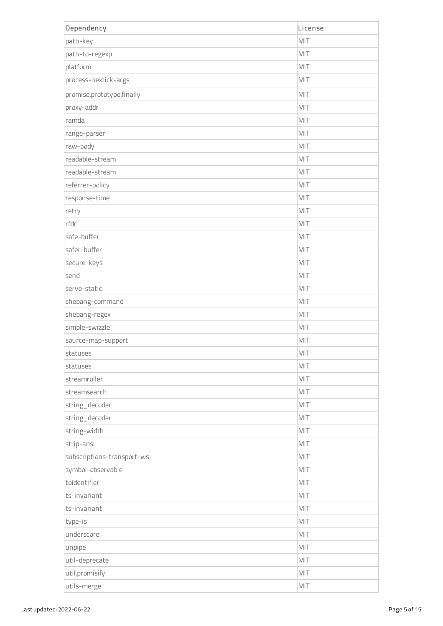| Dependency                 | License |
|----------------------------|---------|
| path-key                   | MIT     |
| path-to-regexp             | MIT     |
| platform                   | MIT     |
| process-nextick-args       | MIT     |
| promise.prototype.finally  | MIT     |
| proxy-addr                 | MIT     |
| ramda                      | MIT     |
| range-parser               | MIT     |
| raw-body                   | MIT     |
| readable-stream            | MIT     |
| readable-stream            | MIT     |
| referrer-policy            | MIT     |
| response-time              | MIT     |
| retry                      | MIT     |
| rfdc                       | MIT     |
| safe-buffer                | MIT     |
| safer-buffer               | MIT     |
| secure-keys                | MIT     |
| send                       | MIT     |
| serve-static               | MIT     |
| shebang-command            | MIT     |
| shebang-regex              | MIT     |
| simple-swizzle             | MIT     |
| source-map-support         | MIT     |
| statuses                   | MIT     |
| statuses                   | MIT     |
| streamroller               | MIT     |
| streamsearch               | MIT     |
| string_decoder             | MIT     |
| string_decoder             | MIT     |
| string-width               | MIT     |
| strip-ansi                 | MIT     |
| subscriptions-transport-ws | MIT     |
| symbol-observable          | MIT     |
| toidentifier               | MIT     |
| ts-invariant               | MIT     |
| ts-invariant               | MIT     |
| type-is                    | MIT     |
| underscore                 | MIT     |
| unpipe                     | MIT     |
| util-deprecate             | MIT     |
| util.promisify             | MIT     |
| utils-merge                | MIT     |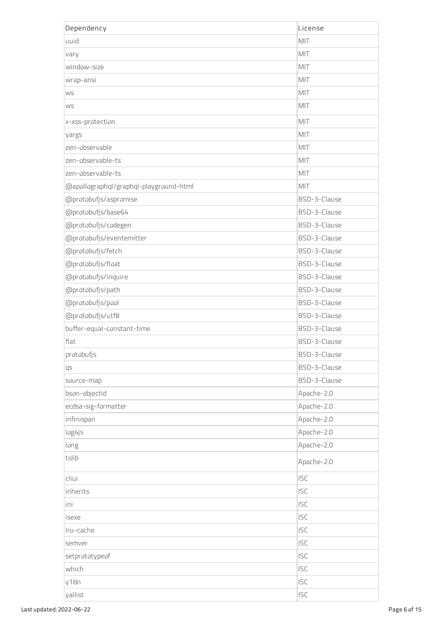| Dependency                             | License      |
|----------------------------------------|--------------|
| uuid                                   | MIT          |
| vary                                   | MIT          |
| window-size                            | MIT          |
| wrap-ansi                              | MIT          |
| <b>WS</b>                              | MIT          |
| WS                                     | MIT          |
| x-xss-protection                       | MIT          |
| yargs                                  | MIT          |
| zen-observable                         | MIT          |
| zen-observable-ts                      | MIT          |
| zen-observable-ts                      | MIT          |
| @apollographql/graphql-playground-html | MIT          |
| @protobufjs/aspromise                  | BSD-3-Clause |
| @protobufjs/base64                     | BSD-3-Clause |
| @protobufjs/codegen                    | BSD-3-Clause |
| @protobufjs/eventemitter               | BSD-3-Clause |
| @protobufjs/fetch                      | BSD-3-Clause |
| @protobufjs/float                      | BSD-3-Clause |
| @protobufjs/inquire                    | BSD-3-Clause |
| @protobufjs/path                       | BSD-3-Clause |
| @protobufjs/pool                       | BSD-3-Clause |
| @protobufjs/utf8                       | BSD-3-Clause |
| buffer-equal-constant-time             | BSD-3-Clause |
| flat                                   | BSD-3-Clause |
| protobufjs                             | BSD-3-Clause |
| qs                                     | BSD-3-Clause |
| source-map                             | BSD-3-Clause |
| bson-objectid                          | Apache-2.0   |
| ecdsa-sig-formatter                    | Apache-2.0   |
| infinispan                             | Apache-2.0   |
| log4js                                 | Apache-2.0   |
| long                                   | Apache-2.0   |
| tslib                                  | Apache-2.0   |
| cliui                                  | <b>ISC</b>   |
| inherits                               | <b>ISC</b>   |
| ini                                    | <b>ISC</b>   |
| isexe                                  | <b>ISC</b>   |
| Iru-cache                              | <b>ISC</b>   |
| semver                                 | <b>ISC</b>   |
| setprototypeof                         | <b>ISC</b>   |
| which                                  | <b>ISC</b>   |
| y18n                                   | <b>ISC</b>   |
| yallist                                | <b>ISC</b>   |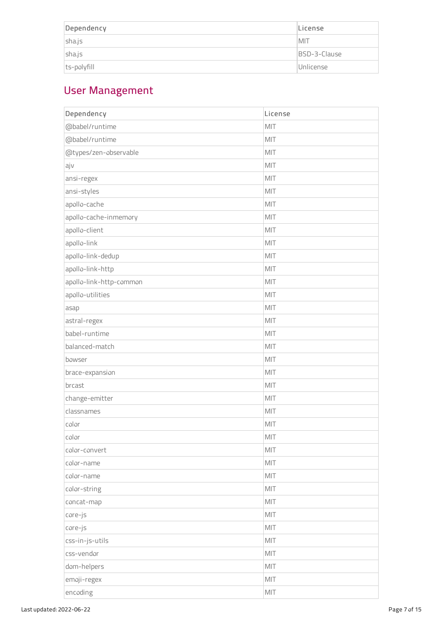| Dependency  | License      |
|-------------|--------------|
| sha.js      | <b>MIT</b>   |
| sha.js      | BSD-3-Clause |
| ts-polyfill | Unlicense    |

## User Management

| Dependency              | License |
|-------------------------|---------|
| @babel/runtime          | MIT     |
| @babel/runtime          | MIT     |
| @types/zen-observable   | MIT     |
| ajv                     | MIT     |
| ansi-regex              | MIT     |
| ansi-styles             | MIT     |
| apollo-cache            | MIT     |
| apollo-cache-inmemory   | MIT     |
| apollo-client           | MIT     |
| apollo-link             | MIT     |
| apollo-link-dedup       | MIT     |
| apollo-link-http        | MIT     |
| apollo-link-http-common | MIT     |
| apollo-utilities        | MIT     |
| asap                    | MIT     |
| astral-regex            | MIT     |
| babel-runtime           | MIT     |
| balanced-match          | MIT     |
| bowser                  | MIT     |
| brace-expansion         | MIT     |
| brcast                  | MIT     |
| change-emitter          | MIT     |
| classnames              | MIT     |
| color                   | MIT     |
| color                   | MIT     |
| color-convert           | MIT     |
| color-name              | MIT     |
| color-name              | MIT     |
| color-string            | MIT     |
| concat-map              | MIT     |
| core-js                 | MIT     |
| core-js                 | MIT     |
| css-in-js-utils         | MIT     |
| css-vendor              | MIT     |
| dom-helpers             | MIT     |
| emoji-regex             | MIT     |
| encoding                | MIT     |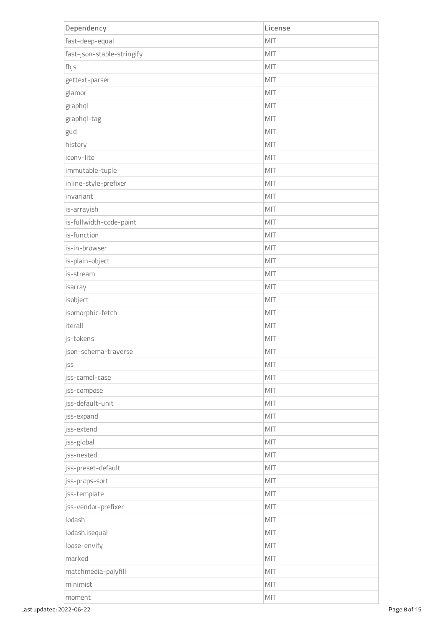| Dependency                 | License        |
|----------------------------|----------------|
| fast-deep-equal            | MIT            |
| fast-json-stable-stringify | MIT            |
| fbjs                       | MIT            |
| gettext-parser             | MIT            |
| glamor                     | MIT            |
| graphql                    | MIT            |
| graphql-tag                | MIT            |
| gud                        | MIT            |
| history                    | MIT            |
| iconv-lite                 | MIT            |
| immutable-tuple            | MIT            |
| inline-style-prefixer      | MIT            |
| invariant                  | MIT            |
| is-arrayish                | MIT            |
| is-fullwidth-code-point    | MIT            |
| is-function                | MIT            |
| is-in-browser              | MIT            |
| is-plain-object            | MIT            |
| is-stream                  | MIT            |
| isarray                    | MIT            |
| isobject                   | MIT            |
| isomorphic-fetch           | MIT            |
| iterall                    | MIT            |
| js-tokens                  | MIT            |
| json-schema-traverse       | MIT            |
| jss                        | MIT            |
| jss-camel-case             | MIT            |
| jss-compose                | MIT            |
| jss-default-unit           | MIT            |
| jss-expand                 | MIT            |
| jss-extend                 | MIT            |
| jss-global                 | MIT            |
| jss-nested                 | MIT            |
| jss-preset-default         | MIT            |
| jss-props-sort             | MIT            |
| jss-template               | MIT            |
| jss-vendor-prefixer        | MIT            |
| lodash                     | MIT            |
| lodash.isequal             | MIT            |
| loose-envify               | MIT            |
| marked                     | MIT            |
| matchmedia-polyfill        | MIT            |
| minimist                   | MIT            |
| moment                     | $\mathsf{MIT}$ |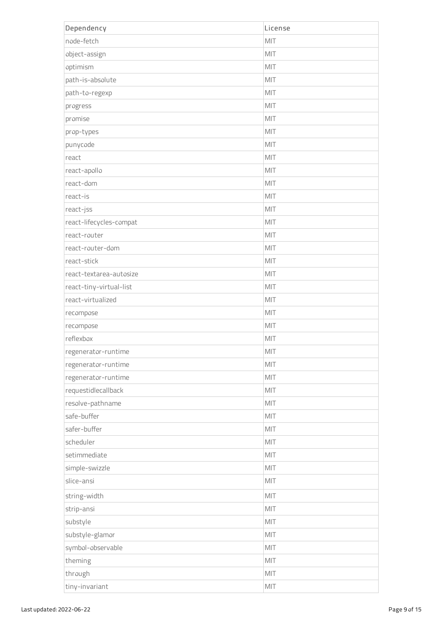| Dependency              | License |
|-------------------------|---------|
| node-fetch              | MIT     |
| object-assign           | MIT     |
| optimism                | MIT     |
| path-is-absolute        | MIT     |
| path-to-regexp          | MIT     |
| progress                | MIT     |
| promise                 | MIT     |
| prop-types              | MIT     |
| punycode                | MIT     |
| react                   | MIT     |
| react-apollo            | MIT     |
| react-dom               | MIT     |
| react-is                | MIT     |
| react-jss               | MIT     |
| react-lifecycles-compat | MIT     |
| react-router            | MIT     |
| react-router-dom        | MIT     |
| react-stick             | MIT     |
| react-textarea-autosize | MIT     |
| react-tiny-virtual-list | MIT     |
| react-virtualized       | MIT     |
| recompose               | MIT     |
| recompose               | MIT     |
| reflexbox               | MIT     |
| regenerator-runtime     | MIT     |
| regenerator-runtime     | MIT     |
| regenerator-runtime     | MIT     |
| requestidlecallback     | MIT     |
| resolve-pathname        | MIT     |
| safe-buffer             | MIT     |
| safer-buffer            | MIT     |
| scheduler               | MIT     |
| setimmediate            | MIT     |
| simple-swizzle          | MIT     |
| slice-ansi              | MIT     |
| string-width            | MIT     |
| strip-ansi              | MIT     |
| substyle                | MIT     |
| substyle-glamor         | MIT     |
| symbol-observable       | MIT     |
| theming                 | MIT     |
| through                 | MIT     |
| tiny-invariant          | MIT     |
|                         |         |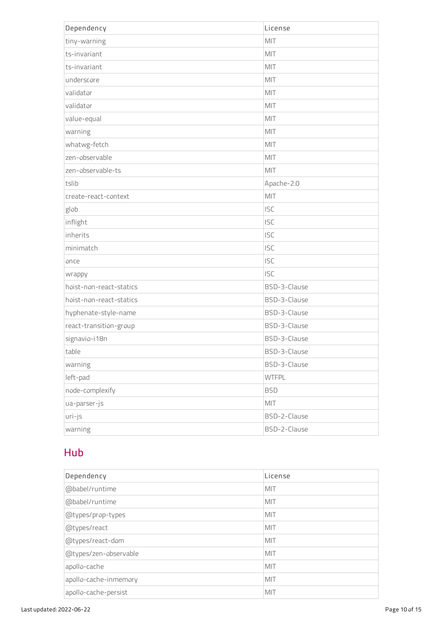| Dependency              | License      |
|-------------------------|--------------|
| tiny-warning            | MIT          |
| ts-invariant            | MIT          |
| ts-invariant            | MIT          |
| underscore              | MIT          |
| validator               | MIT          |
| validator               | MIT          |
| value-equal             | MIT          |
| warning                 | MIT          |
| whatwg-fetch            | MIT          |
| zen-observable          | MIT          |
| zen-observable-ts       | MIT          |
| tslib                   | Apache-2.0   |
| create-react-context    | MIT          |
| glob                    | <b>ISC</b>   |
| inflight                | <b>ISC</b>   |
| inherits                | <b>ISC</b>   |
| minimatch               | <b>ISC</b>   |
| once                    | <b>ISC</b>   |
| wrappy                  | <b>ISC</b>   |
| hoist-non-react-statics | BSD-3-Clause |
| hoist-non-react-statics | BSD-3-Clause |
| hyphenate-style-name    | BSD-3-Clause |
| react-transition-group  | BSD-3-Clause |
| signavio-i18n           | BSD-3-Clause |
| table                   | BSD-3-Clause |
| warning                 | BSD-3-Clause |
| left-pad                | <b>WTFPL</b> |
| node-complexify         | <b>BSD</b>   |
| ua-parser-js            | MIT          |
| uri-js                  | BSD-2-Clause |
| warning                 | BSD-2-Clause |

## Hub

| Dependency            | License    |
|-----------------------|------------|
| @babel/runtime        | MIT        |
| @babel/runtime        | MIT        |
| @types/prop-types     | MIT        |
| @types/react          | MIT        |
| @types/react-dom      | MIT        |
| @types/zen-observable | MIT        |
| apollo-cache          | MIT        |
| apollo-cache-inmemory | MIT        |
| apollo-cache-persist  | <b>MIT</b> |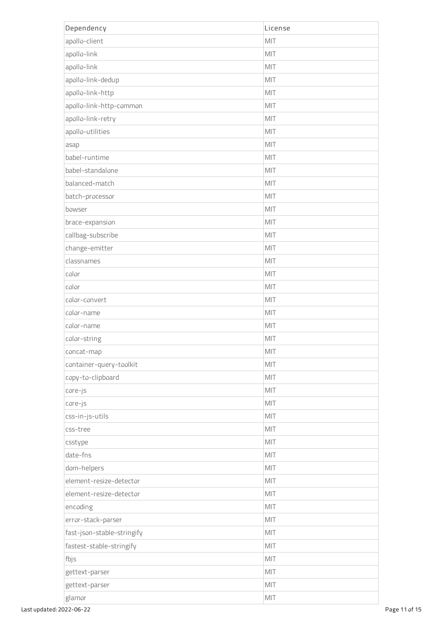| Dependency                 | License |
|----------------------------|---------|
| apollo-client              | MIT     |
| apollo-link                | MIT     |
| apollo-link                | MIT     |
| apollo-link-dedup          | MIT     |
| apollo-link-http           | MIT     |
| apollo-link-http-common    | MIT     |
| apollo-link-retry          | MIT     |
| apollo-utilities           | MIT     |
| asap                       | MIT     |
| babel-runtime              | MIT     |
| babel-standalone           | MIT     |
| balanced-match             | MIT     |
| batch-processor            | MIT     |
| bowser                     | MIT     |
| brace-expansion            | MIT     |
| callbag-subscribe          | MIT     |
| change-emitter             | MIT     |
| classnames                 | MIT     |
| color                      | MIT     |
| color                      | MIT     |
| color-convert              | MIT     |
| color-name                 | MIT     |
| color-name                 | MIT     |
| color-string               | MIT     |
| concat-map                 | MIT     |
| container-query-toolkit    | MIT     |
| copy-to-clipboard          | MIT     |
| core-js                    | MIT     |
| core-js                    | MIT     |
| css-in-js-utils            | MIT     |
| css-tree                   | MIT     |
| csstype                    | MIT     |
| date-fns                   | MIT     |
| dom-helpers                | MIT     |
| element-resize-detector    | MIT     |
| element-resize-detector    | MIT     |
| encoding                   | MIT     |
| error-stack-parser         | MIT     |
| fast-json-stable-stringify | MIT     |
| fastest-stable-stringify   | MIT     |
| fbjs                       | MIT     |
| gettext-parser             | MIT     |
| gettext-parser             | MIT     |
| glamor                     | MIT     |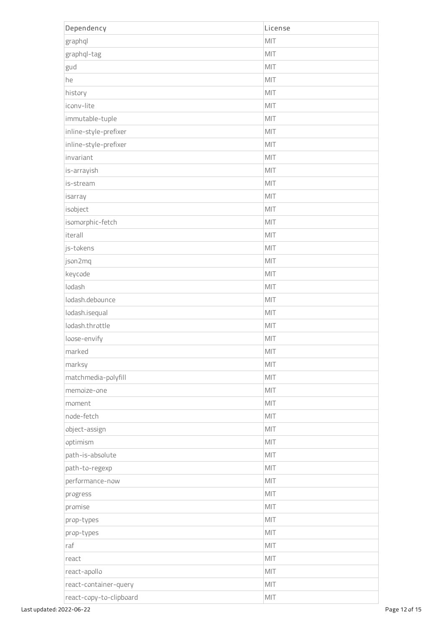| Dependency              | License |
|-------------------------|---------|
| graphql                 | MIT     |
| graphql-tag             | MIT     |
| gud                     | MIT     |
| he                      | MIT     |
| history                 | MIT     |
| iconv-lite              | MIT     |
| immutable-tuple         | MIT     |
| inline-style-prefixer   | MIT     |
| inline-style-prefixer   | MIT     |
| invariant               | MIT     |
| is-arrayish             | MIT     |
| is-stream               | MIT     |
| isarray                 | MIT     |
| isobject                | MIT     |
| isomorphic-fetch        | MIT     |
| iterall                 | MIT     |
| js-tokens               | MIT     |
| json2mq                 | MIT     |
| keycode                 | MIT     |
| lodash                  | MIT     |
| lodash.debounce         | MIT     |
| lodash.isequal          | MIT     |
| lodash.throttle         | MIT     |
| loose-envify            | MIT     |
| marked                  | MIT     |
| marksy                  | MIT     |
| matchmedia-polyfill     | MIT     |
| memoize-one             | MIT     |
| moment                  | MIT     |
| node-fetch              | MIT     |
| object-assign           | MIT     |
| optimism                | MIT     |
| path-is-absolute        | MIT     |
| path-to-regexp          | MIT     |
| performance-now         | MIT     |
| progress                | MIT     |
| promise                 | MIT     |
| prop-types              | MIT     |
| prop-types              | MIT     |
| raf                     | MIT     |
| react                   | MIT     |
| react-apollo            | MIT     |
| react-container-query   | MIT     |
| react-copy-to-clipboard | MIT     |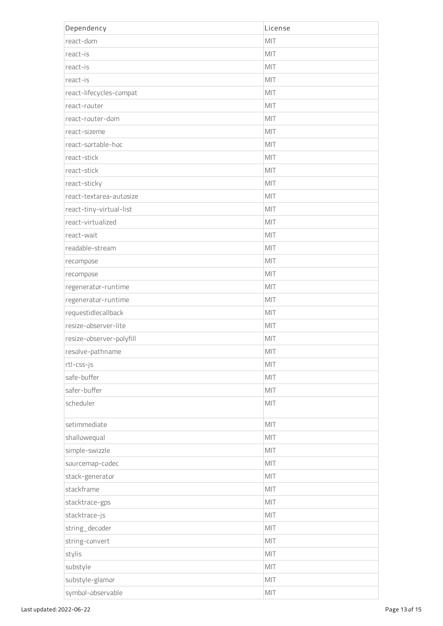| Dependency               | License |
|--------------------------|---------|
| react-dom                | MIT     |
| react-is                 | MIT     |
| react-is                 | MIT     |
| react-is                 | MIT     |
| react-lifecycles-compat  | MIT     |
| react-router             | MIT     |
| react-router-dom         | MIT     |
| react-sizeme             | MIT     |
| react-sortable-hoc       | MIT     |
| react-stick              | MIT     |
| react-stick              | MIT     |
| react-sticky             | MIT     |
| react-textarea-autosize  | MIT     |
| react-tiny-virtual-list  | MIT     |
| react-virtualized        | MIT     |
| react-wait               | MIT     |
| readable-stream          | MIT     |
| recompose                | MIT     |
| recompose                | MIT     |
| regenerator-runtime      | MIT     |
| regenerator-runtime      | MIT     |
| requestidlecallback      | MIT     |
| resize-observer-lite     | MIT     |
| resize-observer-polyfill | MIT     |
| resolve-pathname         | MIT     |
| rtl-css-js               | MIT     |
| safe-buffer              | MIT     |
| safer-buffer             | MIT     |
| scheduler                | MIT     |
| setimmediate             | MIT     |
| shallowequal             | MIT     |
| simple-swizzle           | MIT     |
| sourcemap-codec          | MIT     |
| stack-generator          | MIT     |
| stackframe               | MIT     |
| stacktrace-gps           | MIT     |
| stacktrace-js            | MIT     |
| string_decoder           | MIT     |
| string-convert           | MIT     |
| stylis                   | MIT     |
| substyle                 | MIT     |
| substyle-glamor          | MIT     |
| symbol-observable        | MIT     |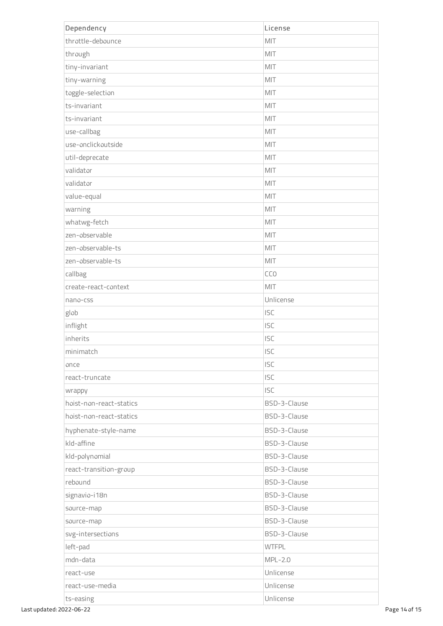| Dependency              | License      |
|-------------------------|--------------|
| throttle-debounce       | MIT          |
| through                 | MIT          |
| tiny-invariant          | MIT          |
| tiny-warning            | MIT          |
| toggle-selection        | MIT          |
| ts-invariant            | MIT          |
| ts-invariant            | MIT          |
| use-callbag             | MIT          |
| use-onclickoutside      | MIT          |
| util-deprecate          | MIT          |
| validator               | MIT          |
| validator               | MIT          |
| value-equal             | MIT          |
| warning                 | MIT          |
| whatwg-fetch            | MIT          |
| zen-observable          | MIT          |
| zen-observable-ts       | MIT          |
| zen-observable-ts       | MIT          |
| callbag                 | CCO          |
| create-react-context    | MIT          |
| nano-css                | Unlicense    |
| glob                    | <b>ISC</b>   |
| inflight                | <b>ISC</b>   |
| inherits                | <b>ISC</b>   |
| minimatch               | <b>ISC</b>   |
| once                    | <b>ISC</b>   |
| react-truncate          | <b>ISC</b>   |
| wrappy                  | <b>ISC</b>   |
| hoist-non-react-statics | BSD-3-Clause |
| hoist-non-react-statics | BSD-3-Clause |
| hyphenate-style-name    | BSD-3-Clause |
| kld-affine              | BSD-3-Clause |
| kld-polynomial          | BSD-3-Clause |
| react-transition-group  | BSD-3-Clause |
| rebound                 | BSD-3-Clause |
| signavio-i18n           | BSD-3-Clause |
| source-map              | BSD-3-Clause |
| source-map              | BSD-3-Clause |
| svg-intersections       | BSD-3-Clause |
| left-pad                | <b>WTFPL</b> |
| mdn-data                | $MPL-2.0$    |
| react-use               | Unlicense    |
| react-use-media         | Unlicense    |
| ts-easing               | Unlicense    |